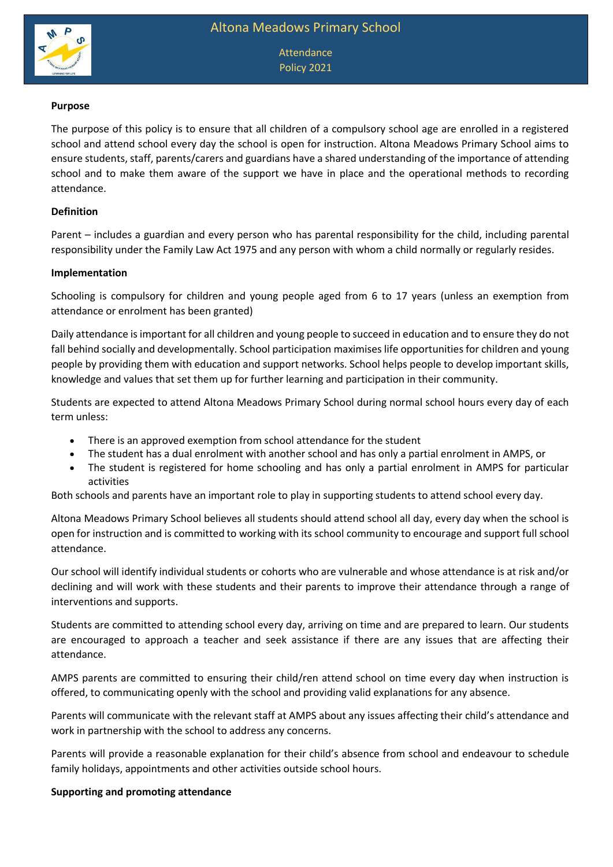

Attendance Policy 2021

### **Purpose**

The purpose of this policy is to ensure that all children of a compulsory school age are enrolled in a registered school and attend school every day the school is open for instruction. Altona Meadows Primary School aims to ensure students, staff, parents/carers and guardians have a shared understanding of the importance of attending school and to make them aware of the support we have in place and the operational methods to recording attendance.

### **Definition**

Parent – includes a guardian and every person who has parental responsibility for the child, including parental responsibility under the Family Law Act 1975 and any person with whom a child normally or regularly resides.

#### **Implementation**

Schooling is compulsory for children and young people aged from 6 to 17 years (unless an exemption from attendance or enrolment has been granted)

Daily attendance is important for all children and young people to succeed in education and to ensure they do not fall behind socially and developmentally. School participation maximises life opportunities for children and young people by providing them with education and support networks. School helps people to develop important skills, knowledge and values that set them up for further learning and participation in their community.

Students are expected to attend Altona Meadows Primary School during normal school hours every day of each term unless:

- There is an approved exemption from school attendance for the student
- The student has a dual enrolment with another school and has only a partial enrolment in AMPS, or
- The student is registered for home schooling and has only a partial enrolment in AMPS for particular activities

Both schools and parents have an important role to play in supporting students to attend school every day.

Altona Meadows Primary School believes all students should attend school all day, every day when the school is open for instruction and is committed to working with its school community to encourage and support full school attendance.

Our school will identify individual students or cohorts who are vulnerable and whose attendance is at risk and/or declining and will work with these students and their parents to improve their attendance through a range of interventions and supports.

Students are committed to attending school every day, arriving on time and are prepared to learn. Our students are encouraged to approach a teacher and seek assistance if there are any issues that are affecting their attendance.

AMPS parents are committed to ensuring their child/ren attend school on time every day when instruction is offered, to communicating openly with the school and providing valid explanations for any absence.

Parents will communicate with the relevant staff at AMPS about any issues affecting their child's attendance and work in partnership with the school to address any concerns.

Parents will provide a reasonable explanation for their child's absence from school and endeavour to schedule family holidays, appointments and other activities outside school hours.

### **Supporting and promoting attendance**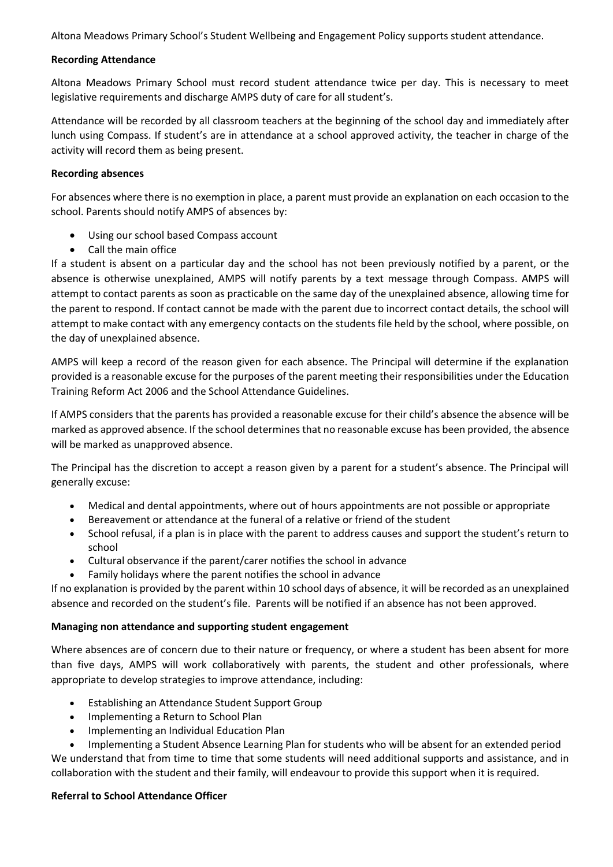Altona Meadows Primary School's Student Wellbeing and Engagement Policy supports student attendance.

## **Recording Attendance**

Altona Meadows Primary School must record student attendance twice per day. This is necessary to meet legislative requirements and discharge AMPS duty of care for all student's.

Attendance will be recorded by all classroom teachers at the beginning of the school day and immediately after lunch using Compass. If student's are in attendance at a school approved activity, the teacher in charge of the activity will record them as being present.

## **Recording absences**

For absences where there is no exemption in place, a parent must provide an explanation on each occasion to the school. Parents should notify AMPS of absences by:

- Using our school based Compass account
- Call the main office

If a student is absent on a particular day and the school has not been previously notified by a parent, or the absence is otherwise unexplained, AMPS will notify parents by a text message through Compass. AMPS will attempt to contact parents as soon as practicable on the same day of the unexplained absence, allowing time for the parent to respond. If contact cannot be made with the parent due to incorrect contact details, the school will attempt to make contact with any emergency contacts on the students file held by the school, where possible, on the day of unexplained absence.

AMPS will keep a record of the reason given for each absence. The Principal will determine if the explanation provided is a reasonable excuse for the purposes of the parent meeting their responsibilities under the Education Training Reform Act 2006 and the School Attendance Guidelines.

If AMPS considers that the parents has provided a reasonable excuse for their child's absence the absence will be marked as approved absence. If the school determines that no reasonable excuse has been provided, the absence will be marked as unapproved absence.

The Principal has the discretion to accept a reason given by a parent for a student's absence. The Principal will generally excuse:

- Medical and dental appointments, where out of hours appointments are not possible or appropriate
- Bereavement or attendance at the funeral of a relative or friend of the student
- School refusal, if a plan is in place with the parent to address causes and support the student's return to school
- Cultural observance if the parent/carer notifies the school in advance
- Family holidays where the parent notifies the school in advance

If no explanation is provided by the parent within 10 school days of absence, it will be recorded as an unexplained absence and recorded on the student's file. Parents will be notified if an absence has not been approved.

# **Managing non attendance and supporting student engagement**

Where absences are of concern due to their nature or frequency, or where a student has been absent for more than five days, AMPS will work collaboratively with parents, the student and other professionals, where appropriate to develop strategies to improve attendance, including:

- Establishing an Attendance Student Support Group
- Implementing a Return to School Plan
- Implementing an Individual Education Plan

 Implementing a Student Absence Learning Plan for students who will be absent for an extended period We understand that from time to time that some students will need additional supports and assistance, and in collaboration with the student and their family, will endeavour to provide this support when it is required.

### **Referral to School Attendance Officer**